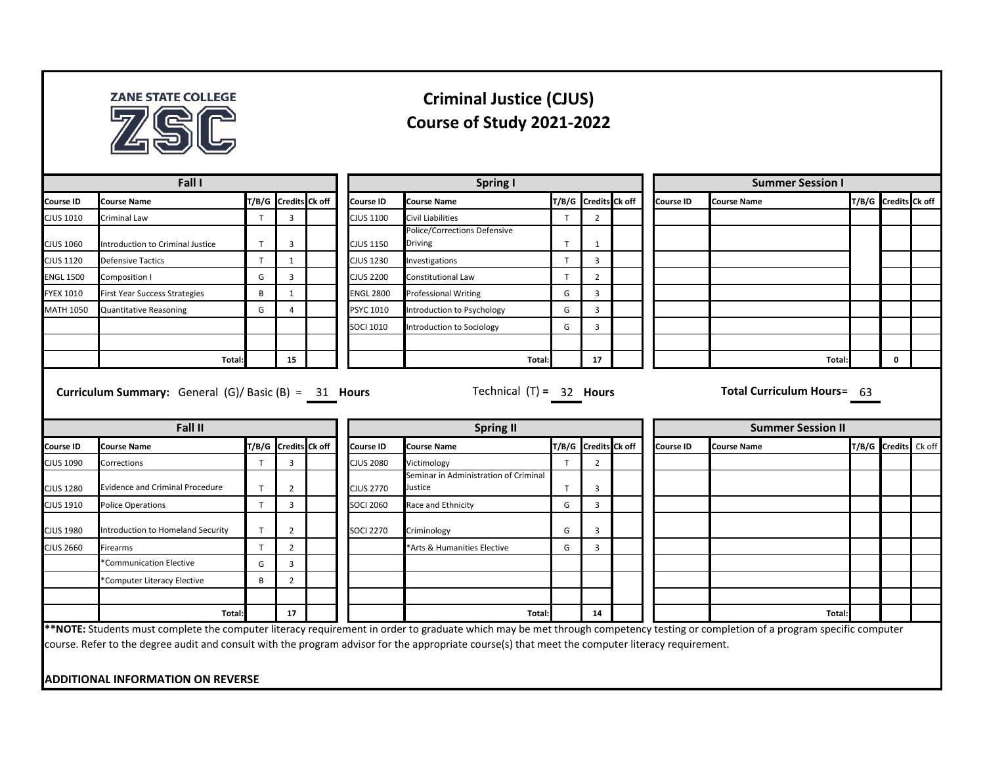